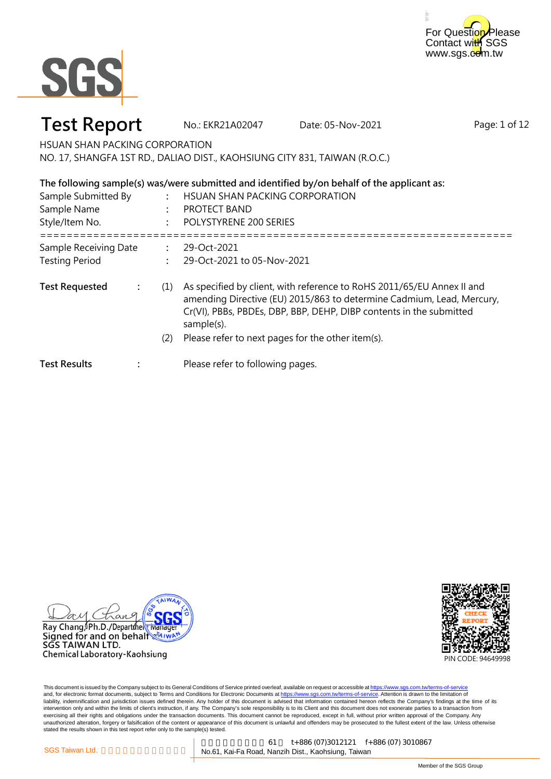



### **Test Report** No.: EKR21A02047 Date: 05-Nov-2021

Page: 1 of 12

HSUAN SHAN PACKING CORPORATION NO. 17, SHANGFA 1ST RD., DALIAO DIST., KAOHSIUNG CITY 831, TAIWAN (R.O.C.)

| The following sample(s) was/were submitted and identified by/on behalf of the applicant as:<br>Sample Submitted By<br>HSUAN SHAN PACKING CORPORATION<br>Sample Name<br><b>PROTECT BAND</b><br>POLYSTYRENE 200 SERIES |                      |     |                                                                                                                                                                                                                                                                                           |
|----------------------------------------------------------------------------------------------------------------------------------------------------------------------------------------------------------------------|----------------------|-----|-------------------------------------------------------------------------------------------------------------------------------------------------------------------------------------------------------------------------------------------------------------------------------------------|
| Style/Item No.                                                                                                                                                                                                       |                      |     |                                                                                                                                                                                                                                                                                           |
| Sample Receiving Date<br><b>Testing Period</b>                                                                                                                                                                       |                      |     | 29-Oct-2021<br>29-Oct-2021 to 05-Nov-2021                                                                                                                                                                                                                                                 |
| <b>Test Requested</b>                                                                                                                                                                                                | $\ddot{\phantom{a}}$ | (1) | As specified by client, with reference to RoHS 2011/65/EU Annex II and<br>amending Directive (EU) 2015/863 to determine Cadmium, Lead, Mercury,<br>Cr(VI), PBBs, PBDEs, DBP, BBP, DEHP, DIBP contents in the submitted<br>sample(s).<br>Please refer to next pages for the other item(s). |
| <b>Test Results</b>                                                                                                                                                                                                  |                      | (2) | Please refer to following pages.                                                                                                                                                                                                                                                          |
|                                                                                                                                                                                                                      |                      |     |                                                                                                                                                                                                                                                                                           |

 $\alpha$ и Ray Chang Ph.D./Department manag Signed for and on behalf SGS TAIWAN LTD. Chemical Laboratory-Kaohsiung

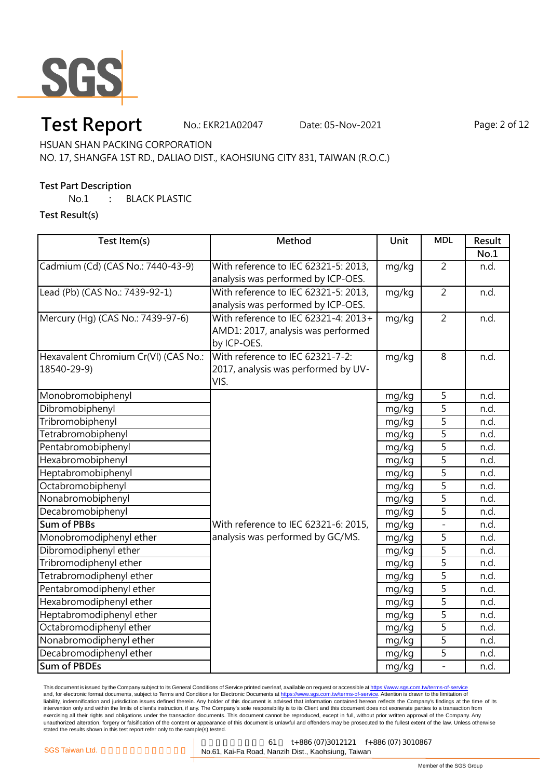

### **Test Report** No.: EKR21A02047 Date: 05-Nov-2021 Page: 2 of 12

HSUAN SHAN PACKING CORPORATION

NO. 17, SHANGFA 1ST RD., DALIAO DIST., KAOHSIUNG CITY 831, TAIWAN (R.O.C.)

### **Test Part Description**

No.1 **:** BLACK PLASTIC

**Test Result(s)**

| Test Item(s)                         | Method                               | Unit  | <b>MDL</b>     | Result |
|--------------------------------------|--------------------------------------|-------|----------------|--------|
|                                      |                                      |       |                | No.1   |
| Cadmium (Cd) (CAS No.: 7440-43-9)    | With reference to IEC 62321-5: 2013, | mg/kg | $\overline{2}$ | n.d.   |
|                                      | analysis was performed by ICP-OES.   |       |                |        |
| Lead (Pb) (CAS No.: 7439-92-1)       | With reference to IEC 62321-5: 2013, | mg/kg | $\overline{2}$ | n.d.   |
|                                      | analysis was performed by ICP-OES.   |       |                |        |
| Mercury (Hg) (CAS No.: 7439-97-6)    | With reference to IEC 62321-4: 2013+ | mg/kg | $\overline{2}$ | n.d.   |
|                                      | AMD1: 2017, analysis was performed   |       |                |        |
|                                      | by ICP-OES.                          |       |                |        |
| Hexavalent Chromium Cr(VI) (CAS No.: | With reference to IEC 62321-7-2:     | mg/kg | 8              | n.d.   |
| 18540-29-9)                          | 2017, analysis was performed by UV-  |       |                |        |
|                                      | VIS.                                 |       |                |        |
| Monobromobiphenyl                    |                                      | mg/kg | 5              | n.d.   |
| Dibromobiphenyl                      |                                      | mg/kg | $\overline{5}$ | n.d.   |
| Tribromobiphenyl                     |                                      | mg/kg | $\overline{5}$ | n.d.   |
| Tetrabromobiphenyl                   |                                      | mg/kg | $\overline{5}$ | n.d.   |
| Pentabromobiphenyl                   |                                      | mg/kg | $\overline{5}$ | n.d.   |
| Hexabromobiphenyl                    |                                      | mg/kg | 5              | n.d.   |
| Heptabromobiphenyl                   |                                      | mg/kg | 5              | n.d.   |
| Octabromobiphenyl                    |                                      | mg/kg | $\overline{5}$ | n.d.   |
| Nonabromobiphenyl                    |                                      | mg/kg | $\overline{5}$ | n.d.   |
| Decabromobiphenyl                    |                                      | mg/kg | $\overline{5}$ | n.d.   |
| Sum of PBBs                          | With reference to IEC 62321-6: 2015, | mg/kg | $\overline{a}$ | n.d.   |
| Monobromodiphenyl ether              | analysis was performed by GC/MS.     | mg/kg | 5              | n.d.   |
| Dibromodiphenyl ether                |                                      | mg/kg | 5              | n.d.   |
| Tribromodiphenyl ether               |                                      | mg/kg | $\overline{5}$ | n.d.   |
| Tetrabromodiphenyl ether             |                                      | mg/kg | $\overline{5}$ | n.d.   |
| Pentabromodiphenyl ether             |                                      | mg/kg | 5              | n.d.   |
| Hexabromodiphenyl ether              |                                      | mg/kg | 5              | n.d.   |
| Heptabromodiphenyl ether             |                                      | mg/kg | 5              | n.d.   |
| Octabromodiphenyl ether              |                                      | mg/kg | $\overline{5}$ | n.d.   |
| Nonabromodiphenyl ether              |                                      | mg/kg | $\overline{5}$ | n.d.   |
| Decabromodiphenyl ether              |                                      | mg/kg | 5              | n.d.   |
| <b>Sum of PBDEs</b>                  |                                      | mg/kg | $\overline{a}$ | n.d.   |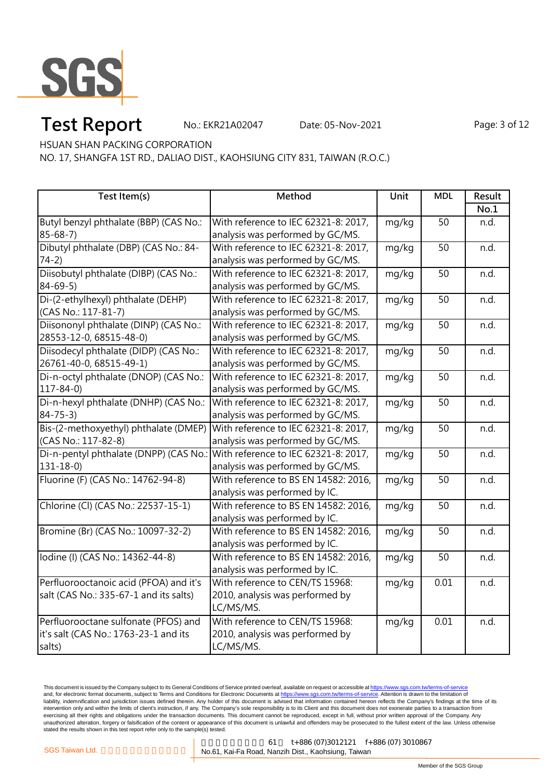

# **Test Report** No.: EKR21A02047 Date: 05-Nov-2021 Page: 3 of 12

HSUAN SHAN PACKING CORPORATION

NO. 17, SHANGFA 1ST RD., DALIAO DIST., KAOHSIUNG CITY 831, TAIWAN (R.O.C.)

| Test Item(s)                                                                | Method                               | Unit  | <b>MDL</b>      | Result |
|-----------------------------------------------------------------------------|--------------------------------------|-------|-----------------|--------|
|                                                                             |                                      |       |                 | No.1   |
| Butyl benzyl phthalate (BBP) (CAS No.:                                      | With reference to IEC 62321-8: 2017, | mg/kg | 50              | n.d.   |
| $85 - 68 - 7$                                                               | analysis was performed by GC/MS.     |       |                 |        |
| Dibutyl phthalate (DBP) (CAS No.: 84-                                       | With reference to IEC 62321-8: 2017, | mg/kg | $\overline{50}$ | n.d.   |
| $74-2)$                                                                     | analysis was performed by GC/MS.     |       |                 |        |
| Diisobutyl phthalate (DIBP) (CAS No.:                                       | With reference to IEC 62321-8: 2017, | mg/kg | 50              | n.d.   |
| $84 - 69 - 5$                                                               | analysis was performed by GC/MS.     |       |                 |        |
| Di-(2-ethylhexyl) phthalate (DEHP)                                          | With reference to IEC 62321-8: 2017, | mg/kg | 50              | n.d.   |
| (CAS No.: 117-81-7)                                                         | analysis was performed by GC/MS.     |       |                 |        |
| Diisononyl phthalate (DINP) (CAS No.:                                       | With reference to IEC 62321-8: 2017, | mg/kg | 50              | n.d.   |
| 28553-12-0, 68515-48-0)                                                     | analysis was performed by GC/MS.     |       |                 |        |
| Diisodecyl phthalate (DIDP) (CAS No.:                                       | With reference to IEC 62321-8: 2017, | mg/kg | 50              | n.d.   |
| 26761-40-0, 68515-49-1)                                                     | analysis was performed by GC/MS.     |       |                 |        |
| Di-n-octyl phthalate (DNOP) (CAS No.:                                       | With reference to IEC 62321-8: 2017, | mg/kg | 50              | n.d.   |
| $117 - 84 - 0$                                                              | analysis was performed by GC/MS.     |       |                 |        |
| Di-n-hexyl phthalate (DNHP) (CAS No.:                                       | With reference to IEC 62321-8: 2017, | mg/kg | 50              | n.d.   |
| $84 - 75 - 3$                                                               | analysis was performed by GC/MS.     |       |                 |        |
| Bis-(2-methoxyethyl) phthalate (DMEP)                                       | With reference to IEC 62321-8: 2017, | mg/kg | 50              | n.d.   |
| (CAS No.: 117-82-8)                                                         | analysis was performed by GC/MS.     |       |                 |        |
| Di-n-pentyl phthalate (DNPP) (CAS No.: With reference to IEC 62321-8: 2017, |                                      | mg/kg | $\overline{50}$ | n.d.   |
| $131 - 18 - 0$                                                              | analysis was performed by GC/MS.     |       |                 |        |
| Fluorine (F) (CAS No.: 14762-94-8)                                          | With reference to BS EN 14582: 2016, | mg/kg | $\overline{50}$ | n.d.   |
|                                                                             | analysis was performed by IC.        |       |                 |        |
| Chlorine (Cl) (CAS No.: 22537-15-1)                                         | With reference to BS EN 14582: 2016, | mg/kg | 50              | n.d.   |
|                                                                             | analysis was performed by IC.        |       |                 |        |
| Bromine (Br) (CAS No.: 10097-32-2)                                          | With reference to BS EN 14582: 2016, | mg/kg | 50              | n.d.   |
|                                                                             | analysis was performed by IC.        |       |                 |        |
| Iodine (I) (CAS No.: 14362-44-8)                                            | With reference to BS EN 14582: 2016, | mg/kg | $\overline{50}$ | n.d.   |
|                                                                             | analysis was performed by IC.        |       |                 |        |
| Perfluorooctanoic acid (PFOA) and it's                                      | With reference to CEN/TS 15968:      | mg/kg | 0.01            | n.d.   |
| salt (CAS No.: 335-67-1 and its salts)                                      | 2010, analysis was performed by      |       |                 |        |
|                                                                             | LC/MS/MS.                            |       |                 |        |
| Perfluorooctane sulfonate (PFOS) and                                        | With reference to CEN/TS 15968:      | mg/kg | 0.01            | n.d.   |
| it's salt (CAS No.: 1763-23-1 and its                                       | 2010, analysis was performed by      |       |                 |        |
| salts)                                                                      | LC/MS/MS.                            |       |                 |        |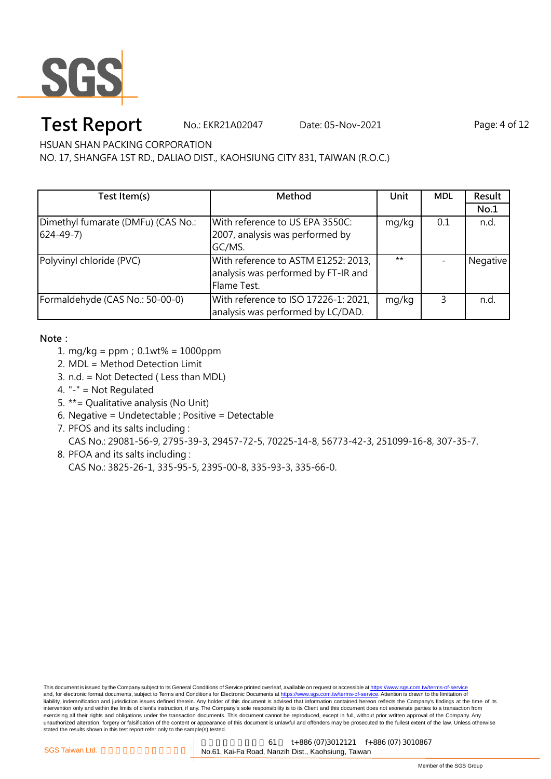

## **Test Report** No.: EKR21A02047 Date: 05-Nov-2021 Page: 4 of 12

HSUAN SHAN PACKING CORPORATION

NO. 17, SHANGFA 1ST RD., DALIAO DIST., KAOHSIUNG CITY 831, TAIWAN (R.O.C.)

| Test Item(s)                       | Method                               | Unit  | <b>MDL</b> | Result   |
|------------------------------------|--------------------------------------|-------|------------|----------|
|                                    |                                      |       |            | No.1     |
| Dimethyl fumarate (DMFu) (CAS No.: | With reference to US EPA 3550C:      | mg/kg | 0.1        | n.d.     |
| $624 - 49 - 7$                     | 2007, analysis was performed by      |       |            |          |
|                                    | GC/MS.                               |       |            |          |
| Polyvinyl chloride (PVC)           | With reference to ASTM E1252: 2013,  | $***$ |            | Negative |
|                                    | analysis was performed by FT-IR and  |       |            |          |
|                                    | Flame Test.                          |       |            |          |
| Formaldehyde (CAS No.: 50-00-0)    | With reference to ISO 17226-1: 2021, | mg/kg | 3          | n.d.     |
|                                    | analysis was performed by LC/DAD.    |       |            |          |

**Note:**

- 1. mg/kg = ppm;0.1wt% = 1000ppm
- 2. MDL = Method Detection Limit
- 3. n.d. = Not Detected ( Less than MDL)
- 4. "-" = Not Regulated
- 5. \*\*= Qualitative analysis (No Unit)
- 6. Negative = Undetectable ; Positive = Detectable
- 7. PFOS and its salts including :

CAS No.: 29081-56-9, 2795-39-3, 29457-72-5, 70225-14-8, 56773-42-3, 251099-16-8, 307-35-7.

8. PFOA and its salts including : CAS No.: 3825-26-1, 335-95-5, 2395-00-8, 335-93-3, 335-66-0.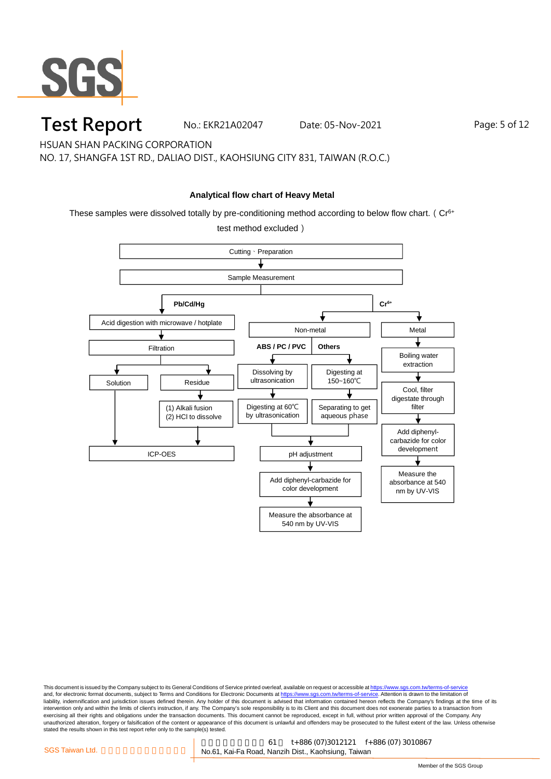

### **Test Report** No.: EKR21A02047 Date: 05-Nov-2021 Page: 5 of 12

HSUAN SHAN PACKING CORPORATION

NO. 17, SHANGFA 1ST RD., DALIAO DIST., KAOHSIUNG CITY 831, TAIWAN (R.O.C.)

#### **Analytical flow chart of Heavy Metal**

These samples were dissolved totally by pre-conditioning method according to below flow chart. ( $Cr<sup>6+</sup>$ 

test method excluded)

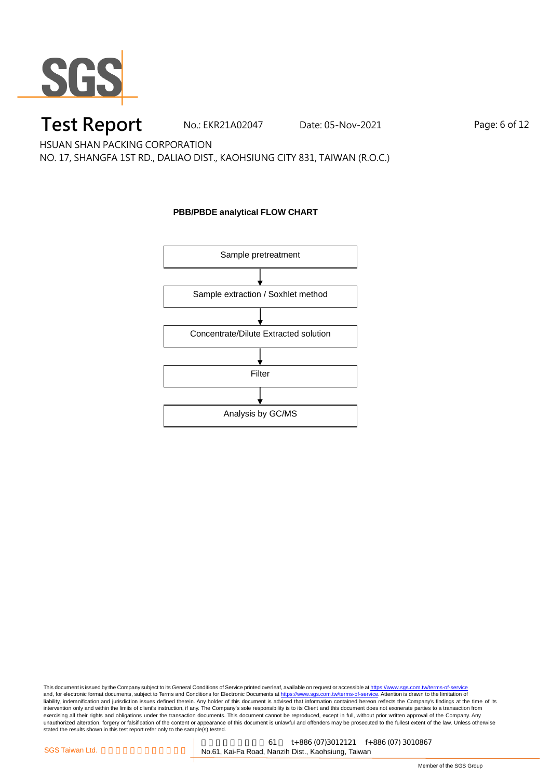

### **Test Report** No.: EKR21A02047 Date: 05-Nov-2021 Page: 6 of 12

HSUAN SHAN PACKING CORPORATION

NO. 17, SHANGFA 1ST RD., DALIAO DIST., KAOHSIUNG CITY 831, TAIWAN (R.O.C.)

#### **PBB/PBDE analytical FLOW CHART**

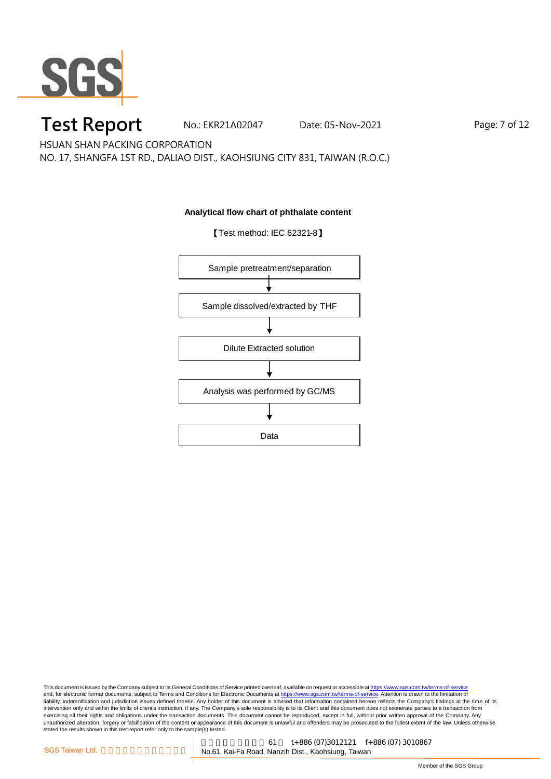

### **Test Report** No.: EKR21A02047 Date: 05-Nov-2021 Page: 7 of 12

HSUAN SHAN PACKING CORPORATION

NO. 17, SHANGFA 1ST RD., DALIAO DIST., KAOHSIUNG CITY 831, TAIWAN (R.O.C.)

#### **Analytical flow chart of phthalate content**

【Test method: IEC 62321-8】

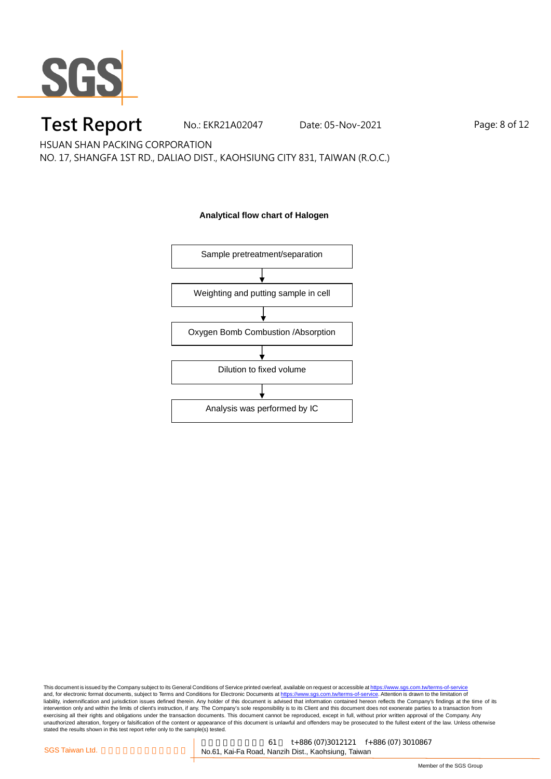

### **Test Report** No.: EKR21A02047 Date: 05-Nov-2021 Page: 8 of 12

HSUAN SHAN PACKING CORPORATION

NO. 17, SHANGFA 1ST RD., DALIAO DIST., KAOHSIUNG CITY 831, TAIWAN (R.O.C.)

#### **Analytical flow chart of Halogen**

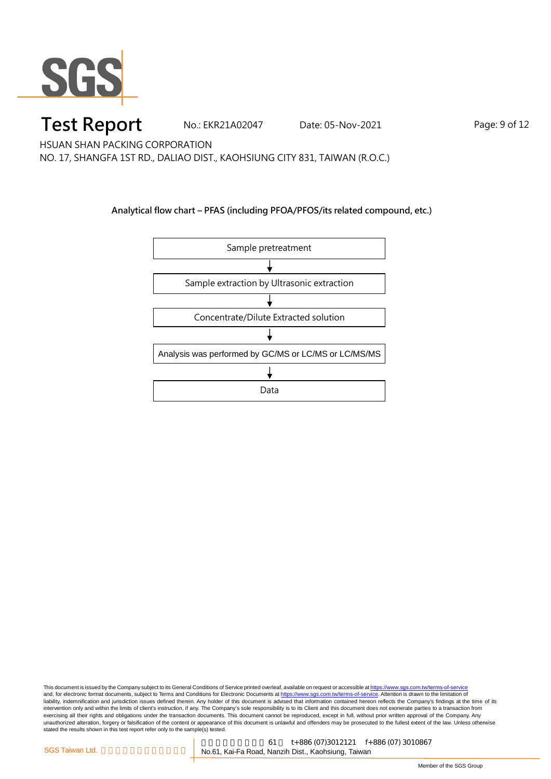

### **Test Report** No.: EKR21A02047 Date: 05-Nov-2021 Page: 9 of 12

HSUAN SHAN PACKING CORPORATION NO. 17, SHANGFA 1ST RD., DALIAO DIST., KAOHSIUNG CITY 831, TAIWAN (R.O.C.)

**Analytical flow chart – PFAS (including PFOA/PFOS/its related compound, etc.)**

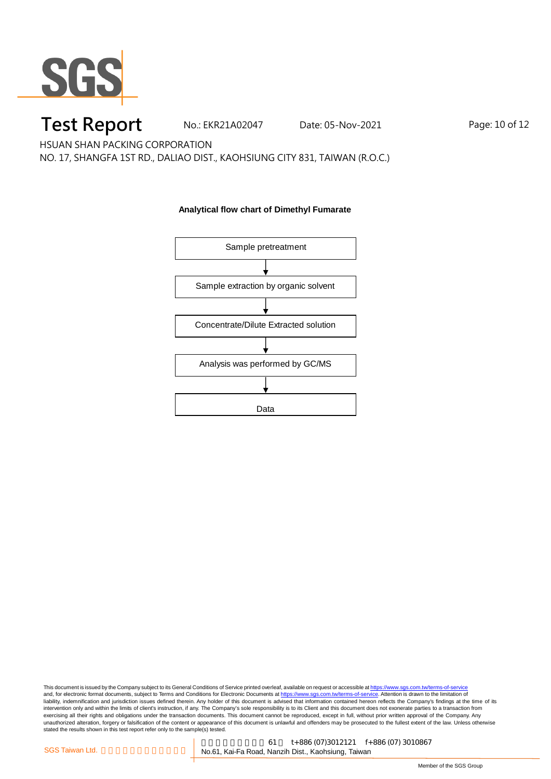

# **Test Report** No.: EKR21A02047 Date: 05-Nov-2021 Page: 10 of 12

HSUAN SHAN PACKING CORPORATION

NO. 17, SHANGFA 1ST RD., DALIAO DIST., KAOHSIUNG CITY 831, TAIWAN (R.O.C.)

**Analytical flow chart of Dimethyl Fumarate**

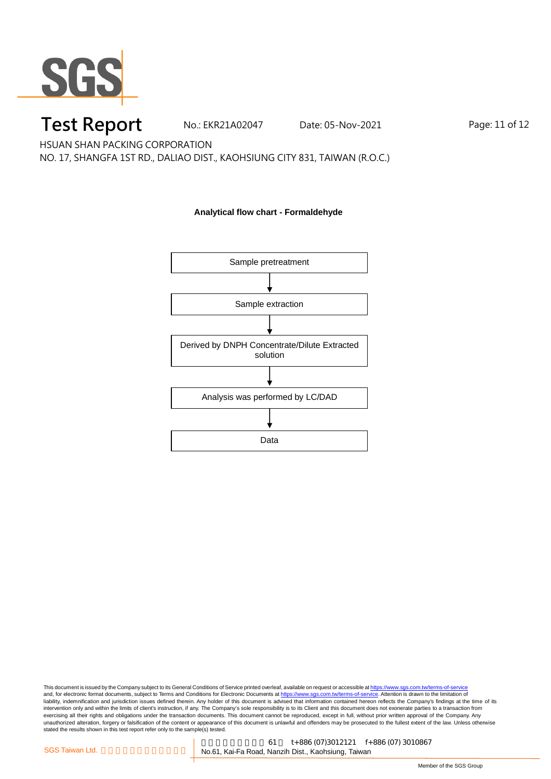

### **Test Report** No.: EKR21A02047 Date: 05-Nov-2021 Page: 11 of 12

HSUAN SHAN PACKING CORPORATION

NO. 17, SHANGFA 1ST RD., DALIAO DIST., KAOHSIUNG CITY 831, TAIWAN (R.O.C.)

#### **Analytical flow chart - Formaldehyde**